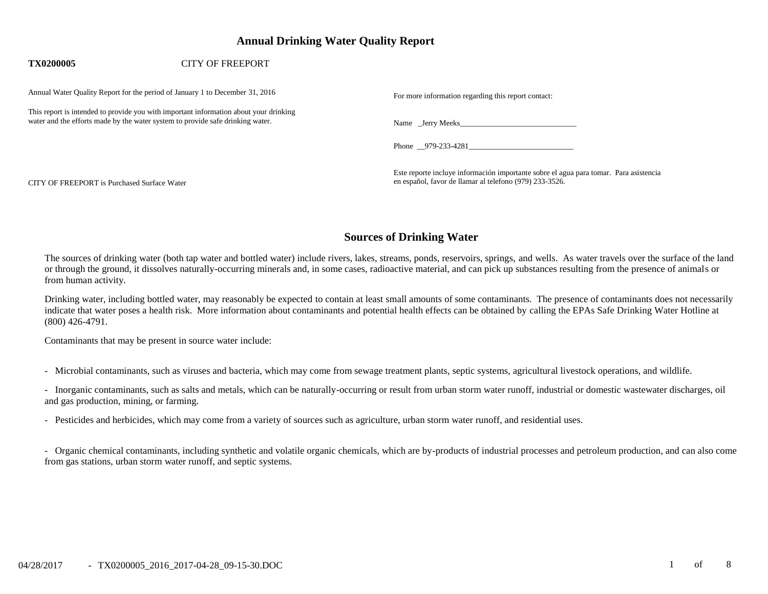# **Annual Drinking Water Quality Report**

### **TX0200005** CITY OF FREEPORT

Annual Water Quality Report for the period of January 1 to December 31, 2016

This report is intended to provide you with important information about your drinking water and the efforts made by the water system to provide safe drinking water. Name \_Jerry Meeks\_\_\_\_\_\_\_\_\_\_\_\_\_\_\_\_\_\_\_\_\_\_\_\_\_\_\_\_\_\_

|  |  | For more information regarding this report contact: |
|--|--|-----------------------------------------------------|
|  |  |                                                     |

Phone 979-233-4281

Este reporte incluye información importante sobre el agua para tomar. Para asistencia CITY OF FREEPORT is Purchased Surface Water en español, favor de llamar al telefono (979) 233-3526.

# **Sources of Drinking Water**

The sources of drinking water (both tap water and bottled water) include rivers, lakes, streams, ponds, reservoirs, springs, and wells. As water travels over the surface of the land or through the ground, it dissolves naturally-occurring minerals and, in some cases, radioactive material, and can pick up substances resulting from the presence of animals or from human activity.

Drinking water, including bottled water, may reasonably be expected to contain at least small amounts of some contaminants. The presence of contaminants does not necessarily indicate that water poses a health risk. More information about contaminants and potential health effects can be obtained by calling the EPAs Safe Drinking Water Hotline at (800) 426-4791.

Contaminants that may be present in source water include:

- Microbial contaminants, such as viruses and bacteria, which may come from sewage treatment plants, septic systems, agricultural livestock operations, and wildlife.

- Inorganic contaminants, such as salts and metals, which can be naturally-occurring or result from urban storm water runoff, industrial or domestic wastewater discharges, oil and gas production, mining, or farming.

- Pesticides and herbicides, which may come from a variety of sources such as agriculture, urban storm water runoff, and residential uses.

- Organic chemical contaminants, including synthetic and volatile organic chemicals, which are by-products of industrial processes and petroleum production, and can also come from gas stations, urban storm water runoff, and septic systems.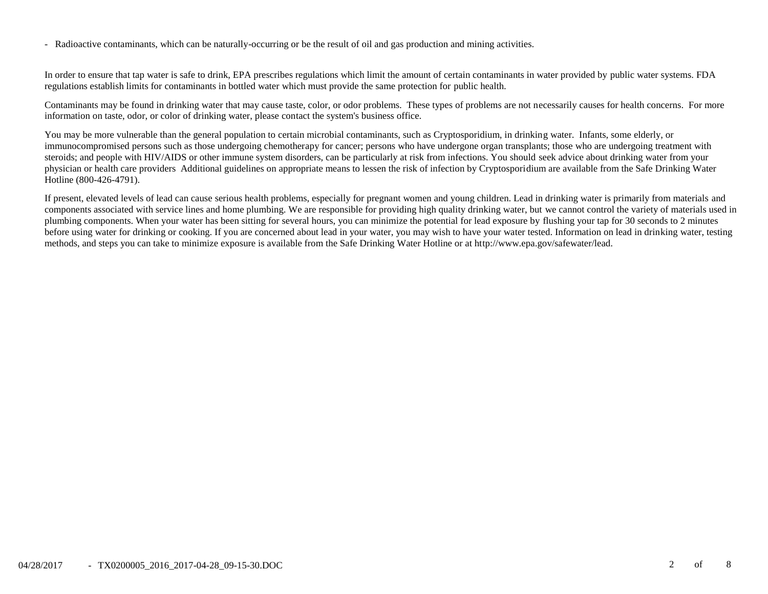- Radioactive contaminants, which can be naturally-occurring or be the result of oil and gas production and mining activities.

In order to ensure that tap water is safe to drink, EPA prescribes regulations which limit the amount of certain contaminants in water provided by public water systems. FDA regulations establish limits for contaminants in bottled water which must provide the same protection for public health.

Contaminants may be found in drinking water that may cause taste, color, or odor problems. These types of problems are not necessarily causes for health concerns. For more information on taste, odor, or color of drinking water, please contact the system's business office.

You may be more vulnerable than the general population to certain microbial contaminants, such as Cryptosporidium, in drinking water. Infants, some elderly, or immunocompromised persons such as those undergoing chemotherapy for cancer; persons who have undergone organ transplants; those who are undergoing treatment with steroids; and people with HIV/AIDS or other immune system disorders, can be particularly at risk from infections. You should seek advice about drinking water from your physician or health care providers Additional guidelines on appropriate means to lessen the risk of infection by Cryptosporidium are available from the Safe Drinking Water Hotline (800-426-4791).

If present, elevated levels of lead can cause serious health problems, especially for pregnant women and young children. Lead in drinking water is primarily from materials and components associated with service lines and home plumbing. We are responsible for providing high quality drinking water, but we cannot control the variety of materials used in plumbing components. When your water has been sitting for several hours, you can minimize the potential for lead exposure by flushing your tap for 30 seconds to 2 minutes before using water for drinking or cooking. If you are concerned about lead in your water, you may wish to have your water tested. Information on lead in drinking water, testing methods, and steps you can take to minimize exposure is available from the Safe Drinking Water Hotline or at http://www.epa.gov/safewater/lead.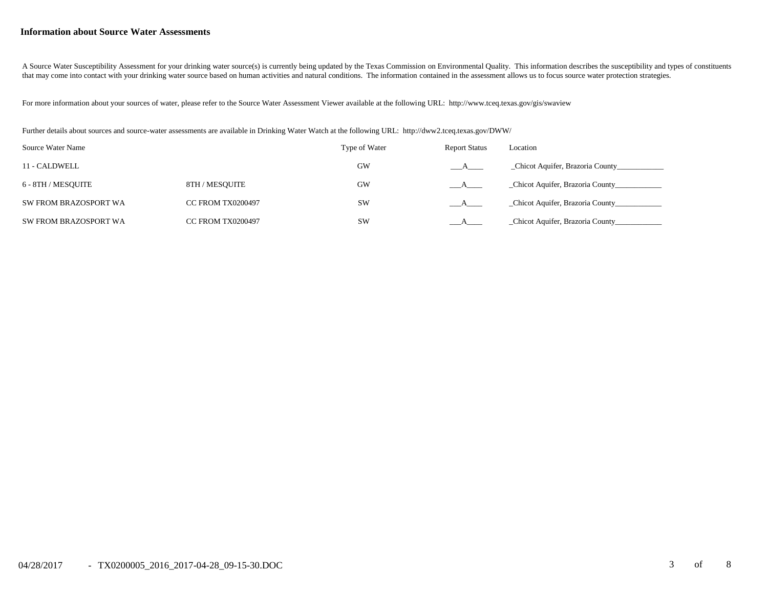#### **Information about Source Water Assessments**

A Source Water Susceptibility Assessment for your drinking water source(s) is currently being updated by the Texas Commission on Environmental Quality. This information describes the susceptibility and types of constituent that may come into contact with your drinking water source based on human activities and natural conditions. The information contained in the assessment allows us to focus source water protection strategies.

For more information about your sources of water, please refer to the Source Water Assessment Viewer available at the following URL: http://www.tceq.texas.gov/gis/swaview

Further details about sources and source-water assessments are available in Drinking Water Watch at the following URL: http://dww2.tceq.texas.gov/DWW/

| Source Water Name     |                          | Type of Water | <b>Report Status</b> | Location                          |
|-----------------------|--------------------------|---------------|----------------------|-----------------------------------|
| 11 - CALDWELL         |                          | GW            | A                    | _Chicot Aquifer, Brazoria County_ |
| 6 - 8TH / MESOUITE    | 8TH / MESOUITE           | GW            | $\mathbf{A}$         | _Chicot Aquifer, Brazoria County_ |
| SW FROM BRAZOSPORT WA | <b>CC FROM TX0200497</b> | <b>SW</b>     |                      | _Chicot Aquifer, Brazoria County_ |
| SW FROM BRAZOSPORT WA | <b>CC FROM TX0200497</b> | <b>SW</b>     |                      | Chicot Aquifer, Brazoria County   |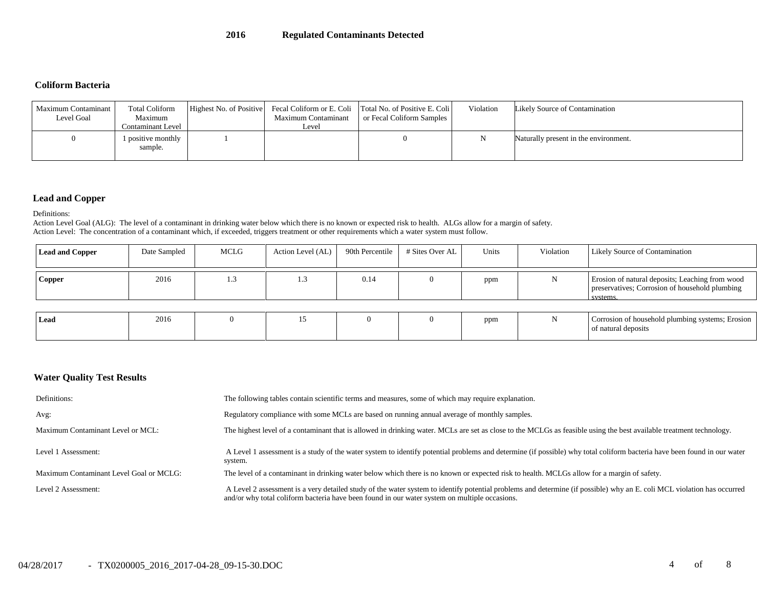#### **Coliform Bacteria**

| Maximum Contaminant<br>Level Goal | <b>Total Coliform</b><br>Maximum<br>Contaminant Level | Highest No. of Positive | Maximum Contaminant<br>Level | Fecal Coliform or E. Coli Total No. of Positive E. Coli<br>or Fecal Coliform Samples | Violation | Likely Source of Contamination        |
|-----------------------------------|-------------------------------------------------------|-------------------------|------------------------------|--------------------------------------------------------------------------------------|-----------|---------------------------------------|
|                                   | l positive monthly<br>sample.                         |                         |                              |                                                                                      |           | Naturally present in the environment. |

## **Lead and Copper**

Definitions:

Action Level Goal (ALG): The level of a contaminant in drinking water below which there is no known or expected risk to health. ALGs allow for a margin of safety. Action Level: The concentration of a contaminant which, if exceeded, triggers treatment or other requirements which a water system must follow.

| <b>Lead and Copper</b> | Date Sampled | MCLG | Action Level (AL) | 90th Percentile | # Sites Over AL | Units | Violation | Likely Source of Contamination                                                                                |
|------------------------|--------------|------|-------------------|-----------------|-----------------|-------|-----------|---------------------------------------------------------------------------------------------------------------|
| <b>Copper</b>          | 2016         |      |                   | 0.14            |                 | ppm   |           | Erosion of natural deposits; Leaching from wood<br>preservatives; Corrosion of household plumbing<br>systems. |
| Lead                   | 2016         |      |                   |                 |                 | ppm   |           | Corrosion of household plumbing systems; Erosion<br>of natural deposits                                       |

### **Water Quality Test Results**

| Definitions:                            | The following tables contain scientific terms and measures, some of which may require explanation.                                                                                                                                                                      |
|-----------------------------------------|-------------------------------------------------------------------------------------------------------------------------------------------------------------------------------------------------------------------------------------------------------------------------|
| Avg:                                    | Regulatory compliance with some MCLs are based on running annual average of monthly samples.                                                                                                                                                                            |
| Maximum Contaminant Level or MCL:       | The highest level of a contaminant that is allowed in drinking water. MCLs are set as close to the MCLGs as feasible using the best available treatment technology.                                                                                                     |
| Level 1 Assessment:                     | A Level 1 assessment is a study of the water system to identify potential problems and determine (if possible) why total coliform bacteria have been found in our water<br>system.                                                                                      |
| Maximum Contaminant Level Goal or MCLG: | The level of a contaminant in drinking water below which there is no known or expected risk to health. MCLGs allow for a margin of safety.                                                                                                                              |
| Level 2 Assessment:                     | A Level 2 assessment is a very detailed study of the water system to identify potential problems and determine (if possible) why an E. coli MCL violation has occurred<br>and/or why total coliform bacteria have been found in our water system on multiple occasions. |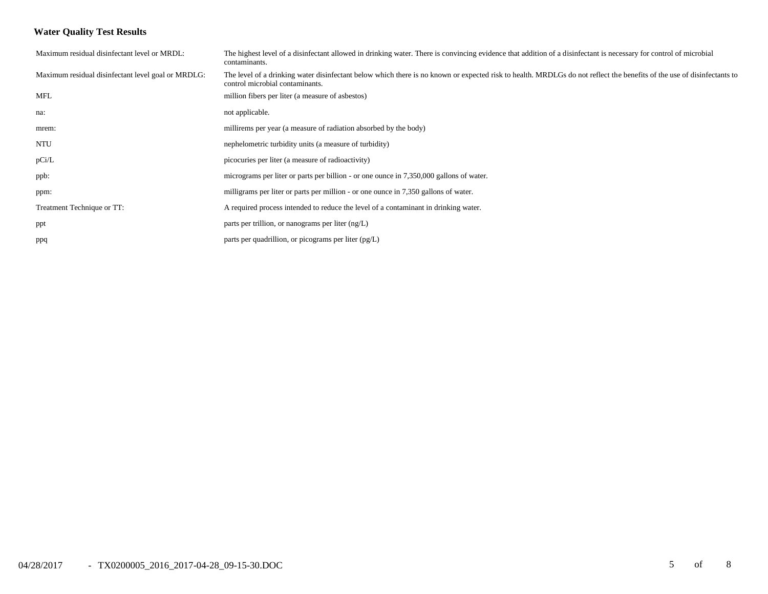## **Water Quality Test Results**

| Maximum residual disinfectant level or MRDL:       | The highest level of a disinfectant allowed in drinking water. There is convincing evidence that addition of a disinfectant is necessary for control of microbial<br>contaminants.                        |
|----------------------------------------------------|-----------------------------------------------------------------------------------------------------------------------------------------------------------------------------------------------------------|
| Maximum residual disinfectant level goal or MRDLG: | The level of a drinking water disinfectant below which there is no known or expected risk to health. MRDLGs do not reflect the benefits of the use of disinfectants to<br>control microbial contaminants. |
| <b>MFL</b>                                         | million fibers per liter (a measure of asbestos)                                                                                                                                                          |
| na:                                                | not applicable.                                                                                                                                                                                           |
| mrem:                                              | millirems per year (a measure of radiation absorbed by the body)                                                                                                                                          |
| <b>NTU</b>                                         | nephelometric turbidity units (a measure of turbidity)                                                                                                                                                    |
| pCi/L                                              | picocuries per liter (a measure of radioactivity)                                                                                                                                                         |
| ppb:                                               | micrograms per liter or parts per billion - or one ounce in 7,350,000 gallons of water.                                                                                                                   |
| ppm:                                               | milligrams per liter or parts per million - or one ounce in 7,350 gallons of water.                                                                                                                       |
| Treatment Technique or TT:                         | A required process intended to reduce the level of a contaminant in drinking water.                                                                                                                       |
| ppt                                                | parts per trillion, or nanograms per liter $(ng/L)$                                                                                                                                                       |
| ppq                                                | parts per quadrillion, or picograms per liter $(pg/L)$                                                                                                                                                    |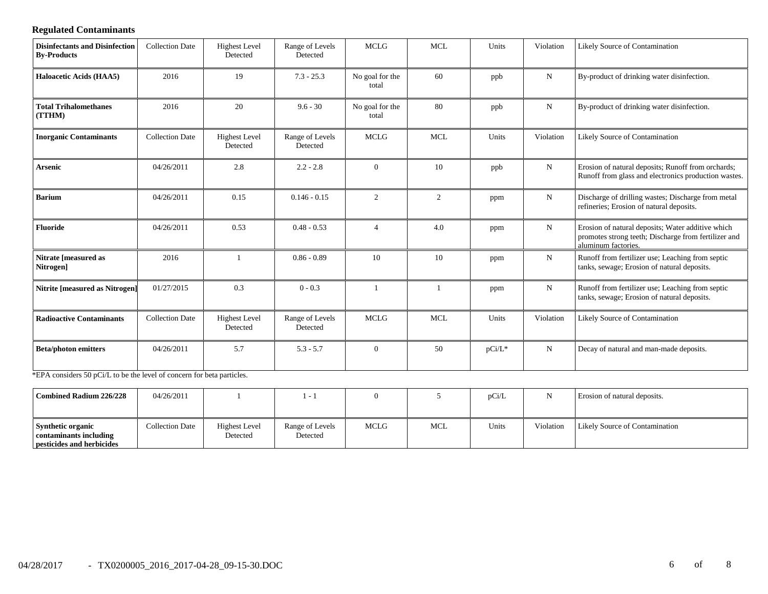## **Regulated Contaminants**

| <b>Disinfectants and Disinfection</b><br><b>By-Products</b>            | <b>Collection Date</b> | <b>Highest Level</b><br>Detected | Range of Levels<br>Detected | <b>MCLG</b>              | <b>MCL</b> | Units     | Violation   | Likely Source of Contamination                                                                                                   |
|------------------------------------------------------------------------|------------------------|----------------------------------|-----------------------------|--------------------------|------------|-----------|-------------|----------------------------------------------------------------------------------------------------------------------------------|
| Haloacetic Acids (HAA5)                                                | 2016                   | 19                               | $7.3 - 25.3$                | No goal for the<br>total | 60         | ppb       | ${\bf N}$   | By-product of drinking water disinfection.                                                                                       |
| <b>Total Trihalomethanes</b><br>(TTHM)                                 | 2016                   | 20                               | $9.6 - 30$                  | No goal for the<br>total | 80         | ppb       | $\mathbf N$ | By-product of drinking water disinfection.                                                                                       |
| <b>Inorganic Contaminants</b>                                          | <b>Collection Date</b> | <b>Highest Level</b><br>Detected | Range of Levels<br>Detected | <b>MCLG</b>              | <b>MCL</b> | Units     | Violation   | Likely Source of Contamination                                                                                                   |
| <b>Arsenic</b>                                                         | 04/26/2011             | 2.8                              | $2.2 - 2.8$                 | $\overline{0}$           | 10         | ppb       | ${\bf N}$   | Erosion of natural deposits; Runoff from orchards;<br>Runoff from glass and electronics production wastes.                       |
| <b>Barium</b>                                                          | 04/26/2011             | 0.15                             | $0.146 - 0.15$              | 2                        | 2          | ppm       | ${\bf N}$   | Discharge of drilling wastes; Discharge from metal<br>refineries; Erosion of natural deposits.                                   |
| <b>Fluoride</b>                                                        | 04/26/2011             | 0.53                             | $0.48 - 0.53$               | $\overline{4}$           | 4.0        | ppm       | N           | Erosion of natural deposits; Water additive which<br>promotes strong teeth; Discharge from fertilizer and<br>aluminum factories. |
| Nitrate [measured as<br>Nitrogen]                                      | 2016                   |                                  | $0.86 - 0.89$               | 10                       | 10         | ppm       | N           | Runoff from fertilizer use; Leaching from septic<br>tanks, sewage; Erosion of natural deposits.                                  |
| <b>Nitrite [measured as Nitrogen]</b>                                  | 01/27/2015             | 0.3                              | $0 - 0.3$                   |                          |            | ppm       | ${\bf N}$   | Runoff from fertilizer use; Leaching from septic<br>tanks, sewage; Erosion of natural deposits.                                  |
| <b>Radioactive Contaminants</b>                                        | <b>Collection Date</b> | <b>Highest Level</b><br>Detected | Range of Levels<br>Detected | <b>MCLG</b>              | <b>MCL</b> | Units     | Violation   | Likely Source of Contamination                                                                                                   |
| <b>Beta/photon emitters</b>                                            | 04/26/2011             | 5.7                              | $5.3 - 5.7$                 | $\theta$                 | 50         | $pCi/L^*$ | N           | Decay of natural and man-made deposits.                                                                                          |
| *EPA considers 50 pCi/L to be the level of concern for beta particles. |                        |                                  |                             |                          |            |           |             |                                                                                                                                  |

| Combined Radium 226/228                                                         | 04/26/2011      |                                  |                             |      |            | pCi/L |           | Erosion of natural deposits.          |
|---------------------------------------------------------------------------------|-----------------|----------------------------------|-----------------------------|------|------------|-------|-----------|---------------------------------------|
| <b>Synthetic organic</b><br>contaminants including<br>pesticides and herbicides | Collection Date | <b>Highest Level</b><br>Detected | Range of Levels<br>Detected | MCLG | <b>MCL</b> | Units | Violation | <b>Likely Source of Contamination</b> |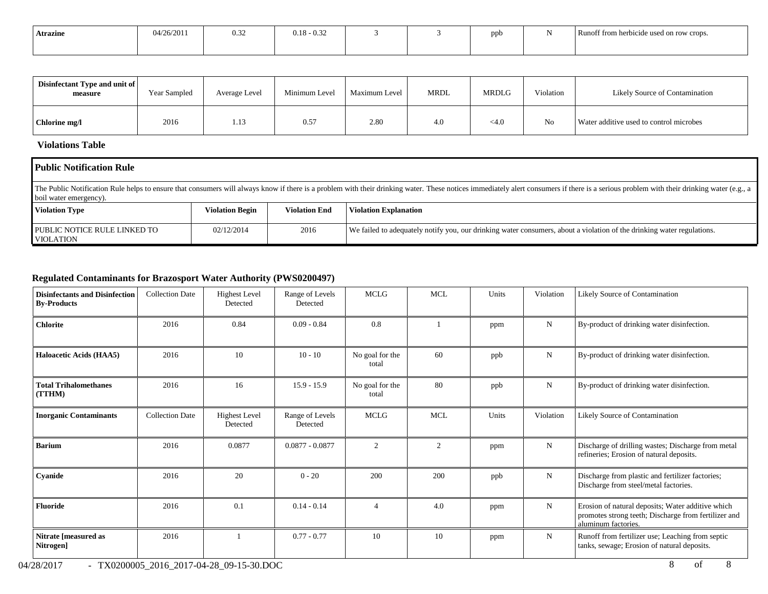| <b>Atrazine</b> | 04/26/2011 | 0.32 | $0.18 - 0.32$ |  | nnh | Runoff from herbicide used on row crops. |
|-----------------|------------|------|---------------|--|-----|------------------------------------------|
|                 |            |      |               |  |     |                                          |

| Disinfectant Type and unit of<br>measure | Year Sampled | Average Level | Minimum Level | Maximum Level | <b>MRDL</b> | <b>MRDLG</b> | Violation      | Likely Source of Contamination          |
|------------------------------------------|--------------|---------------|---------------|---------------|-------------|--------------|----------------|-----------------------------------------|
| Chlorine mg/l                            | 2016         | 1.13          | 0.57          | 2.80          | 4.0         | $<$ 4.0      | N <sub>o</sub> | Water additive used to control microbes |

## **Violations Table**

| <b>Public Notification Rule</b>                                                                                                                                                                                                                          |                        |                      |                                                                                                                        |  |  |  |  |  |  |
|----------------------------------------------------------------------------------------------------------------------------------------------------------------------------------------------------------------------------------------------------------|------------------------|----------------------|------------------------------------------------------------------------------------------------------------------------|--|--|--|--|--|--|
| The Public Notification Rule helps to ensure that consumers will always know if there is a problem with their drinking water. These notices immediately alert consumers if there is a serious problem with their drinking wate<br>boil water emergency). |                        |                      |                                                                                                                        |  |  |  |  |  |  |
| <b>Violation Type</b>                                                                                                                                                                                                                                    | <b>Violation Begin</b> | <b>Violation End</b> | <b>Violation Explanation</b>                                                                                           |  |  |  |  |  |  |
| PUBLIC NOTICE RULE LINKED TO<br><b>VIOLATION</b>                                                                                                                                                                                                         | 02/12/2014             | 2016                 | We failed to adequately notify you, our drinking water consumers, about a violation of the drinking water regulations. |  |  |  |  |  |  |

## **Regulated Contaminants for Brazosport Water Authority (PWS0200497)**

| <b>Disinfectants and Disinfection</b><br><b>By-Products</b> | <b>Collection Date</b> | <b>Highest Level</b><br>Detected | Range of Levels<br>Detected | <b>MCLG</b>              | <b>MCL</b> | Units | Violation   | <b>Likely Source of Contamination</b>                                                                                            |
|-------------------------------------------------------------|------------------------|----------------------------------|-----------------------------|--------------------------|------------|-------|-------------|----------------------------------------------------------------------------------------------------------------------------------|
| <b>Chlorite</b>                                             | 2016                   | 0.84                             | $0.09 - 0.84$               | 0.8                      |            | ppm   | $\mathbf N$ | By-product of drinking water disinfection.                                                                                       |
| <b>Haloacetic Acids (HAA5)</b>                              | 2016                   | 10                               | $10 - 10$                   | No goal for the<br>total | 60         | ppb   | $\mathbf N$ | By-product of drinking water disinfection.                                                                                       |
| <b>Total Trihalomethanes</b><br>(TTHM)                      | 2016                   | 16                               | $15.9 - 15.9$               | No goal for the<br>total | 80         | ppb   | $\mathbf N$ | By-product of drinking water disinfection.                                                                                       |
| <b>Inorganic Contaminants</b>                               | <b>Collection Date</b> | <b>Highest</b> Level<br>Detected | Range of Levels<br>Detected | <b>MCLG</b>              | <b>MCL</b> | Units | Violation   | <b>Likely Source of Contamination</b>                                                                                            |
| <b>Barium</b>                                               | 2016                   | 0.0877                           | $0.0877 - 0.0877$           | $\overline{2}$           | 2          | ppm   | $\mathbf N$ | Discharge of drilling wastes; Discharge from metal<br>refineries; Erosion of natural deposits.                                   |
| Cyanide                                                     | 2016                   | 20                               | $0 - 20$                    | 200                      | 200        | ppb   | $\mathbf N$ | Discharge from plastic and fertilizer factories;<br>Discharge from steel/metal factories.                                        |
| <b>Fluoride</b>                                             | 2016                   | 0.1                              | $0.14 - 0.14$               | 4                        | 4.0        | ppm   | $\mathbf N$ | Erosion of natural deposits; Water additive which<br>promotes strong teeth; Discharge from fertilizer and<br>aluminum factories. |
| Nitrate [measured as<br>Nitrogen]                           | 2016                   |                                  | $0.77 - 0.77$               | 10                       | 10         | ppm   | N           | Runoff from fertilizer use; Leaching from septic<br>tanks, sewage; Erosion of natural deposits.                                  |